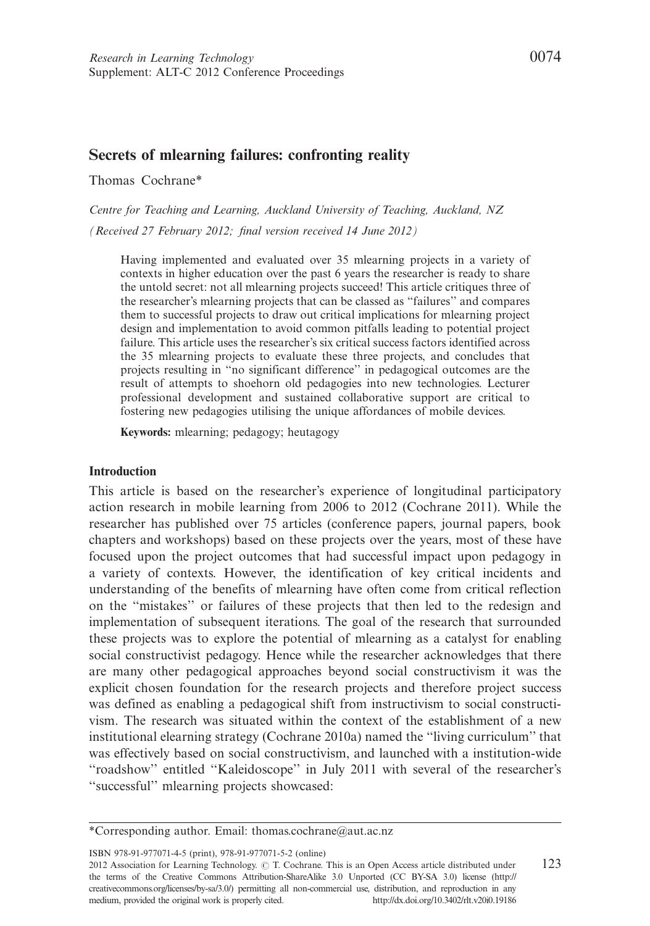## Secrets of mlearning failures: confronting reality

Thomas Cochrane\*

Centre for Teaching and Learning, Auckland University of Teaching, Auckland, NZ (Received 27 February 2012; final version received 14 June 2012)

Having implemented and evaluated over 35 mlearning projects in a variety of contexts in higher education over the past 6 years the researcher is ready to share the untold secret: not all mlearning projects succeed! This article critiques three of the researcher's mlearning projects that can be classed as ''failures'' and compares them to successful projects to draw out critical implications for mlearning project design and implementation to avoid common pitfalls leading to potential project failure. This article uses the researcher's six critical success factors identified across the 35 mlearning projects to evaluate these three projects, and concludes that projects resulting in ''no significant difference'' in pedagogical outcomes are the result of attempts to shoehorn old pedagogies into new technologies. Lecturer professional development and sustained collaborative support are critical to fostering new pedagogies utilising the unique affordances of mobile devices.

Keywords: mlearning; pedagogy; heutagogy

#### Introduction

This article is based on the researcher's experience of longitudinal participatory action research in mobile learning from 2006 to 2012 (Cochrane 2011). While the researcher has published over 75 articles (conference papers, journal papers, book chapters and workshops) based on these projects over the years, most of these have focused upon the project outcomes that had successful impact upon pedagogy in a variety of contexts. However, the identification of key critical incidents and understanding of the benefits of mlearning have often come from critical reflection on the ''mistakes'' or failures of these projects that then led to the redesign and implementation of subsequent iterations. The goal of the research that surrounded these projects was to explore the potential of mlearning as a catalyst for enabling social constructivist pedagogy. Hence while the researcher acknowledges that there are many other pedagogical approaches beyond social constructivism it was the explicit chosen foundation for the research projects and therefore project success was defined as enabling a pedagogical shift from instructivism to social constructivism. The research was situated within the context of the establishment of a new institutional elearning strategy (Cochrane 2010a) named the ''living curriculum'' that was effectively based on social constructivism, and launched with a institution-wide "roadshow" entitled "Kaleidoscope" in July 2011 with several of the researcher's ''successful'' mlearning projects showcased:

ISBN 978-91-977071-4-5 (print), 978-91-977071-5-2 (online)

2012 Association for Learning Technology.  $\odot$  T. Cochrane. This is an Open Access article distributed under 123 the terms of the Creative Commons Attribution-ShareAlike 3.0 Unported (CC BY-SA 3.0) license (http:// creativecommons.org/licenses/by-sa/3.0/) permitting all non-commercial use, distribution, and reproduction in any medium, provided the original work is properly cited.<http://dx.doi.org/10.3402/rlt.v20i0.19186>

<sup>\*</sup>Corresponding author. Email: thomas.cochrane@aut.ac.nz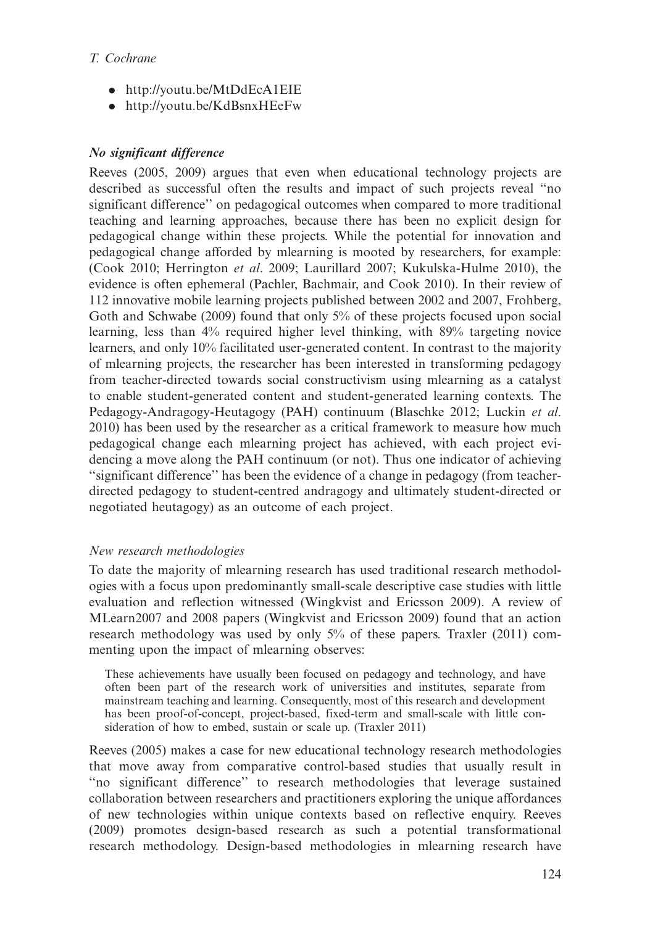## T. Cochrane

- . <http://youtu.be/MtDdEcA1EIE>
- . <http://youtu.be/KdBsnxHEeFw>

# No significant difference

Reeves (2005, 2009) argues that even when educational technology projects are described as successful often the results and impact of such projects reveal ''no significant difference'' on pedagogical outcomes when compared to more traditional teaching and learning approaches, because there has been no explicit design for pedagogical change within these projects. While the potential for innovation and pedagogical change afforded by mlearning is mooted by researchers, for example: (Cook 2010; Herrington et al. 2009; Laurillard 2007; Kukulska-Hulme 2010), the evidence is often ephemeral (Pachler, Bachmair, and Cook 2010). In their review of 112 innovative mobile learning projects published between 2002 and 2007, Frohberg, Goth and Schwabe (2009) found that only 5% of these projects focused upon social learning, less than 4% required higher level thinking, with 89% targeting novice learners, and only 10% facilitated user-generated content. In contrast to the majority of mlearning projects, the researcher has been interested in transforming pedagogy from teacher-directed towards social constructivism using mlearning as a catalyst to enable student-generated content and student-generated learning contexts. The Pedagogy-Andragogy-Heutagogy (PAH) continuum (Blaschke 2012; Luckin et al. 2010) has been used by the researcher as a critical framework to measure how much pedagogical change each mlearning project has achieved, with each project evidencing a move along the PAH continuum (or not). Thus one indicator of achieving ''significant difference'' has been the evidence of a change in pedagogy (from teacherdirected pedagogy to student-centred andragogy and ultimately student-directed or negotiated heutagogy) as an outcome of each project.

### New research methodologies

To date the majority of mlearning research has used traditional research methodologies with a focus upon predominantly small-scale descriptive case studies with little evaluation and reflection witnessed (Wingkvist and Ericsson 2009). A review of MLearn2007 and 2008 papers (Wingkvist and Ericsson 2009) found that an action research methodology was used by only 5% of these papers. Traxler (2011) commenting upon the impact of mlearning observes:

These achievements have usually been focused on pedagogy and technology, and have often been part of the research work of universities and institutes, separate from mainstream teaching and learning. Consequently, most of this research and development has been proof-of-concept, project-based, fixed-term and small-scale with little consideration of how to embed, sustain or scale up. (Traxler 2011)

Reeves (2005) makes a case for new educational technology research methodologies that move away from comparative control-based studies that usually result in "no significant difference" to research methodologies that leverage sustained collaboration between researchers and practitioners exploring the unique affordances of new technologies within unique contexts based on reflective enquiry. Reeves (2009) promotes design-based research as such a potential transformational research methodology. Design-based methodologies in mlearning research have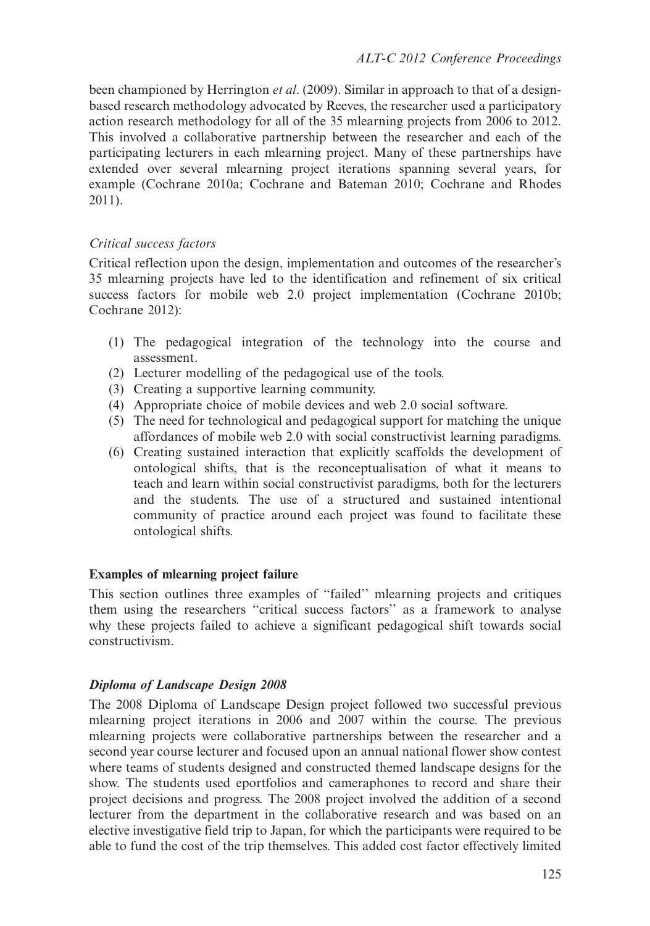been championed by Herrington *et al.* (2009). Similar in approach to that of a designbased research methodology advocated by Reeves, the researcher used a participatory action research methodology for all of the 35 mlearning projects from 2006 to 2012. This involved a collaborative partnership between the researcher and each of the participating lecturers in each mlearning project. Many of these partnerships have extended over several mlearning project iterations spanning several years, for example (Cochrane 2010a; Cochrane and Bateman 2010; Cochrane and Rhodes 2011).

# Critical success factors

Critical reflection upon the design, implementation and outcomes of the researcher's 35 mlearning projects have led to the identification and refinement of six critical success factors for mobile web 2.0 project implementation (Cochrane 2010b; Cochrane 2012):

- (1) The pedagogical integration of the technology into the course and assessment.
- (2) Lecturer modelling of the pedagogical use of the tools.
- (3) Creating a supportive learning community.
- (4) Appropriate choice of mobile devices and web 2.0 social software.
- (5) The need for technological and pedagogical support for matching the unique affordances of mobile web 2.0 with social constructivist learning paradigms.
- (6) Creating sustained interaction that explicitly scaffolds the development of ontological shifts, that is the reconceptualisation of what it means to teach and learn within social constructivist paradigms, both for the lecturers and the students. The use of a structured and sustained intentional community of practice around each project was found to facilitate these ontological shifts.

### Examples of mlearning project failure

This section outlines three examples of ''failed'' mlearning projects and critiques them using the researchers ''critical success factors'' as a framework to analyse why these projects failed to achieve a significant pedagogical shift towards social constructivism.

# Diploma of Landscape Design 2008

The 2008 Diploma of Landscape Design project followed two successful previous mlearning project iterations in 2006 and 2007 within the course. The previous mlearning projects were collaborative partnerships between the researcher and a second year course lecturer and focused upon an annual national flower show contest where teams of students designed and constructed themed landscape designs for the show. The students used eportfolios and cameraphones to record and share their project decisions and progress. The 2008 project involved the addition of a second lecturer from the department in the collaborative research and was based on an elective investigative field trip to Japan, for which the participants were required to be able to fund the cost of the trip themselves. This added cost factor effectively limited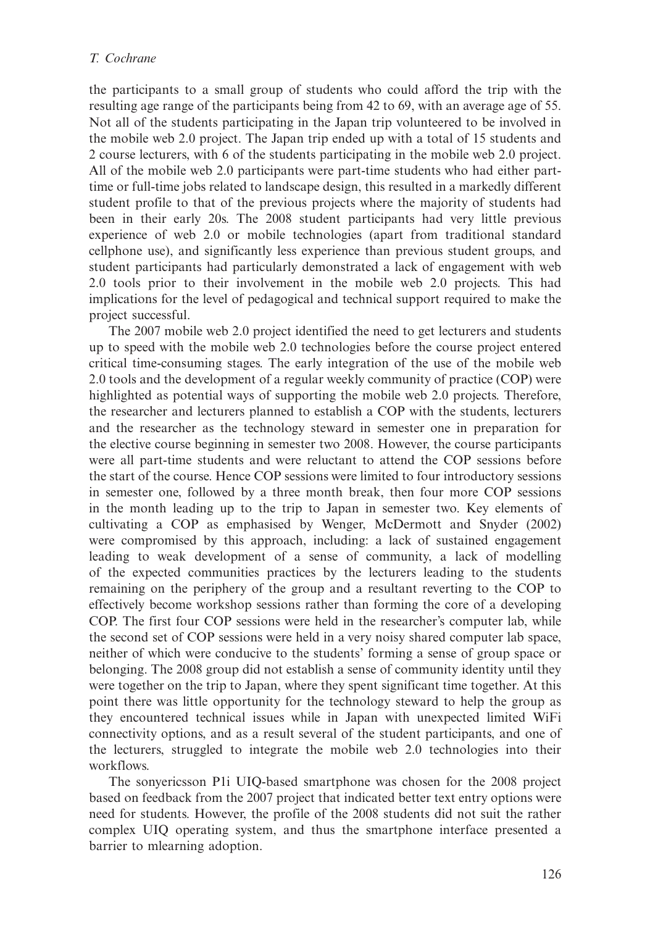the participants to a small group of students who could afford the trip with the resulting age range of the participants being from 42 to 69, with an average age of 55. Not all of the students participating in the Japan trip volunteered to be involved in the mobile web 2.0 project. The Japan trip ended up with a total of 15 students and 2 course lecturers, with 6 of the students participating in the mobile web 2.0 project. All of the mobile web 2.0 participants were part-time students who had either parttime or full-time jobs related to landscape design, this resulted in a markedly different student profile to that of the previous projects where the majority of students had been in their early 20s. The 2008 student participants had very little previous experience of web 2.0 or mobile technologies (apart from traditional standard cellphone use), and significantly less experience than previous student groups, and student participants had particularly demonstrated a lack of engagement with web 2.0 tools prior to their involvement in the mobile web 2.0 projects. This had implications for the level of pedagogical and technical support required to make the project successful.

The 2007 mobile web 2.0 project identified the need to get lecturers and students up to speed with the mobile web 2.0 technologies before the course project entered critical time-consuming stages. The early integration of the use of the mobile web 2.0 tools and the development of a regular weekly community of practice (COP) were highlighted as potential ways of supporting the mobile web 2.0 projects. Therefore, the researcher and lecturers planned to establish a COP with the students, lecturers and the researcher as the technology steward in semester one in preparation for the elective course beginning in semester two 2008. However, the course participants were all part-time students and were reluctant to attend the COP sessions before the start of the course. Hence COP sessions were limited to four introductory sessions in semester one, followed by a three month break, then four more COP sessions in the month leading up to the trip to Japan in semester two. Key elements of cultivating a COP as emphasised by Wenger, McDermott and Snyder (2002) were compromised by this approach, including: a lack of sustained engagement leading to weak development of a sense of community, a lack of modelling of the expected communities practices by the lecturers leading to the students remaining on the periphery of the group and a resultant reverting to the COP to effectively become workshop sessions rather than forming the core of a developing COP. The first four COP sessions were held in the researcher's computer lab, while the second set of COP sessions were held in a very noisy shared computer lab space, neither of which were conducive to the students' forming a sense of group space or belonging. The 2008 group did not establish a sense of community identity until they were together on the trip to Japan, where they spent significant time together. At this point there was little opportunity for the technology steward to help the group as they encountered technical issues while in Japan with unexpected limited WiFi connectivity options, and as a result several of the student participants, and one of the lecturers, struggled to integrate the mobile web 2.0 technologies into their workflows.

The sonyericsson P1i UIQ-based smartphone was chosen for the 2008 project based on feedback from the 2007 project that indicated better text entry options were need for students. However, the profile of the 2008 students did not suit the rather complex UIQ operating system, and thus the smartphone interface presented a barrier to mlearning adoption.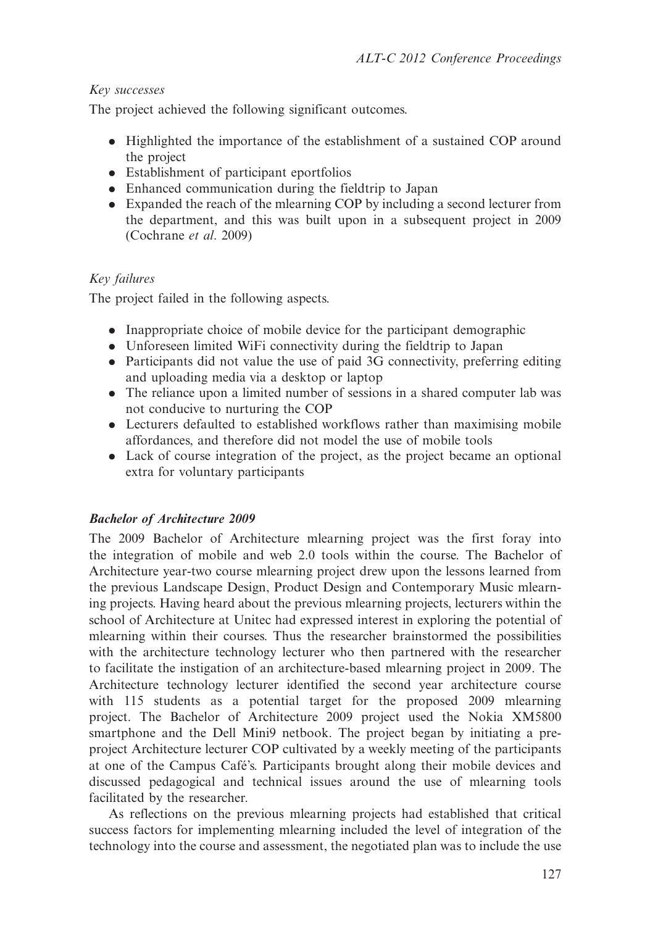## Key successes

The project achieved the following significant outcomes.

- . Highlighted the importance of the establishment of a sustained COP around the project
- . Establishment of participant eportfolios
- . Enhanced communication during the fieldtrip to Japan
- . Expanded the reach of the mlearning COP by including a second lecturer from the department, and this was built upon in a subsequent project in 2009 (Cochrane et al. 2009)

# Key failures

The project failed in the following aspects.

- . Inappropriate choice of mobile device for the participant demographic
- . Unforeseen limited WiFi connectivity during the fieldtrip to Japan
- . Participants did not value the use of paid 3G connectivity, preferring editing and uploading media via a desktop or laptop
- . The reliance upon a limited number of sessions in a shared computer lab was not conducive to nurturing the COP
- . Lecturers defaulted to established workflows rather than maximising mobile affordances, and therefore did not model the use of mobile tools
- . Lack of course integration of the project, as the project became an optional extra for voluntary participants

# Bachelor of Architecture 2009

The 2009 Bachelor of Architecture mlearning project was the first foray into the integration of mobile and web 2.0 tools within the course. The Bachelor of Architecture year-two course mlearning project drew upon the lessons learned from the previous Landscape Design, Product Design and Contemporary Music mlearning projects. Having heard about the previous mlearning projects, lecturers within the school of Architecture at Unitec had expressed interest in exploring the potential of mlearning within their courses. Thus the researcher brainstormed the possibilities with the architecture technology lecturer who then partnered with the researcher to facilitate the instigation of an architecture-based mlearning project in 2009. The Architecture technology lecturer identified the second year architecture course with 115 students as a potential target for the proposed 2009 mlearning project. The Bachelor of Architecture 2009 project used the Nokia XM5800 smartphone and the Dell Mini9 netbook. The project began by initiating a preproject Architecture lecturer COP cultivated by a weekly meeting of the participants at one of the Campus Cafe´'s. Participants brought along their mobile devices and discussed pedagogical and technical issues around the use of mlearning tools facilitated by the researcher.

As reflections on the previous mlearning projects had established that critical success factors for implementing mlearning included the level of integration of the technology into the course and assessment, the negotiated plan was to include the use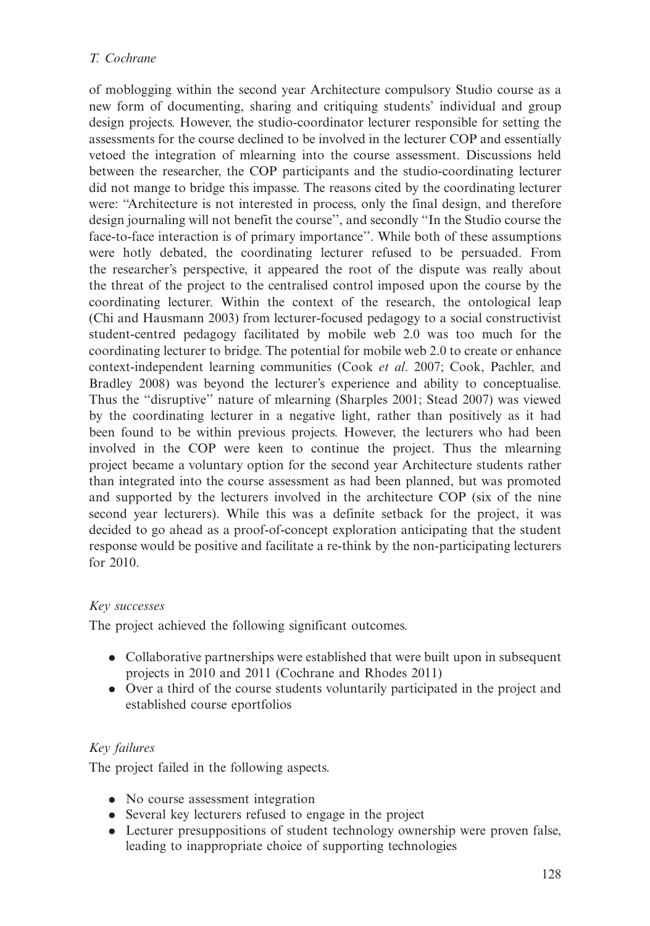## T. Cochrane

of moblogging within the second year Architecture compulsory Studio course as a new form of documenting, sharing and critiquing students' individual and group design projects. However, the studio-coordinator lecturer responsible for setting the assessments for the course declined to be involved in the lecturer COP and essentially vetoed the integration of mlearning into the course assessment. Discussions held between the researcher, the COP participants and the studio-coordinating lecturer did not mange to bridge this impasse. The reasons cited by the coordinating lecturer were: ''Architecture is not interested in process, only the final design, and therefore design journaling will not benefit the course'', and secondly ''In the Studio course the face-to-face interaction is of primary importance''. While both of these assumptions were hotly debated, the coordinating lecturer refused to be persuaded. From the researcher's perspective, it appeared the root of the dispute was really about the threat of the project to the centralised control imposed upon the course by the coordinating lecturer. Within the context of the research, the ontological leap (Chi and Hausmann 2003) from lecturer-focused pedagogy to a social constructivist student-centred pedagogy facilitated by mobile web 2.0 was too much for the coordinating lecturer to bridge. The potential for mobile web 2.0 to create or enhance context-independent learning communities (Cook et al. 2007; Cook, Pachler, and Bradley 2008) was beyond the lecturer's experience and ability to conceptualise. Thus the ''disruptive'' nature of mlearning (Sharples 2001; Stead 2007) was viewed by the coordinating lecturer in a negative light, rather than positively as it had been found to be within previous projects. However, the lecturers who had been involved in the COP were keen to continue the project. Thus the mlearning project became a voluntary option for the second year Architecture students rather than integrated into the course assessment as had been planned, but was promoted and supported by the lecturers involved in the architecture COP (six of the nine second year lecturers). While this was a definite setback for the project, it was decided to go ahead as a proof-of-concept exploration anticipating that the student response would be positive and facilitate a re-think by the non-participating lecturers for 2010.

### Key successes

The project achieved the following significant outcomes.

- . Collaborative partnerships were established that were built upon in subsequent projects in 2010 and 2011 (Cochrane and Rhodes 2011)
- . Over a third of the course students voluntarily participated in the project and established course eportfolios

# Key failures

The project failed in the following aspects.

- No course assessment integration
- . Several key lecturers refused to engage in the project
- . Lecturer presuppositions of student technology ownership were proven false, leading to inappropriate choice of supporting technologies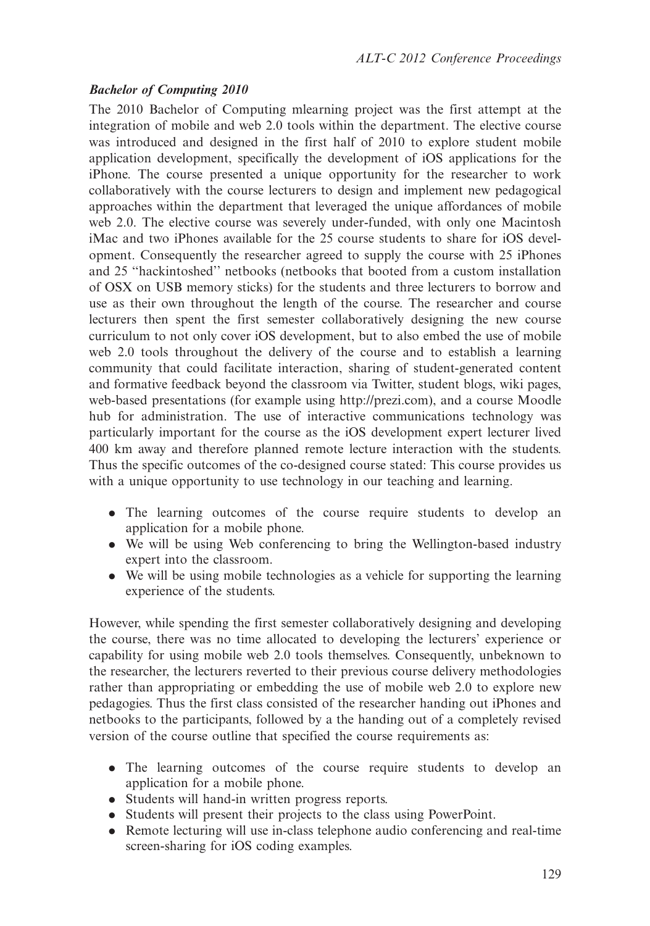#### Bachelor of Computing 2010

The 2010 Bachelor of Computing mlearning project was the first attempt at the integration of mobile and web 2.0 tools within the department. The elective course was introduced and designed in the first half of 2010 to explore student mobile application development, specifically the development of iOS applications for the iPhone. The course presented a unique opportunity for the researcher to work collaboratively with the course lecturers to design and implement new pedagogical approaches within the department that leveraged the unique affordances of mobile web 2.0. The elective course was severely under-funded, with only one Macintosh iMac and two iPhones available for the 25 course students to share for iOS development. Consequently the researcher agreed to supply the course with 25 iPhones and 25 ''hackintoshed'' netbooks (netbooks that booted from a custom installation of OSX on USB memory sticks) for the students and three lecturers to borrow and use as their own throughout the length of the course. The researcher and course lecturers then spent the first semester collaboratively designing the new course curriculum to not only cover iOS development, but to also embed the use of mobile web 2.0 tools throughout the delivery of the course and to establish a learning community that could facilitate interaction, sharing of student-generated content and formative feedback beyond the classroom via Twitter, student blogs, wiki pages, web-based presentations (for example using<http://prezi.com>), and a course Moodle hub for administration. The use of interactive communications technology was particularly important for the course as the iOS development expert lecturer lived 400 km away and therefore planned remote lecture interaction with the students. Thus the specific outcomes of the co-designed course stated: This course provides us with a unique opportunity to use technology in our teaching and learning.

- . The learning outcomes of the course require students to develop an application for a mobile phone.
- . We will be using Web conferencing to bring the Wellington-based industry expert into the classroom.
- . We will be using mobile technologies as a vehicle for supporting the learning experience of the students.

However, while spending the first semester collaboratively designing and developing the course, there was no time allocated to developing the lecturers' experience or capability for using mobile web 2.0 tools themselves. Consequently, unbeknown to the researcher, the lecturers reverted to their previous course delivery methodologies rather than appropriating or embedding the use of mobile web 2.0 to explore new pedagogies. Thus the first class consisted of the researcher handing out iPhones and netbooks to the participants, followed by a the handing out of a completely revised version of the course outline that specified the course requirements as:

- . The learning outcomes of the course require students to develop an application for a mobile phone.
- . Students will hand-in written progress reports.
- . Students will present their projects to the class using PowerPoint.
- . Remote lecturing will use in-class telephone audio conferencing and real-time screen-sharing for iOS coding examples.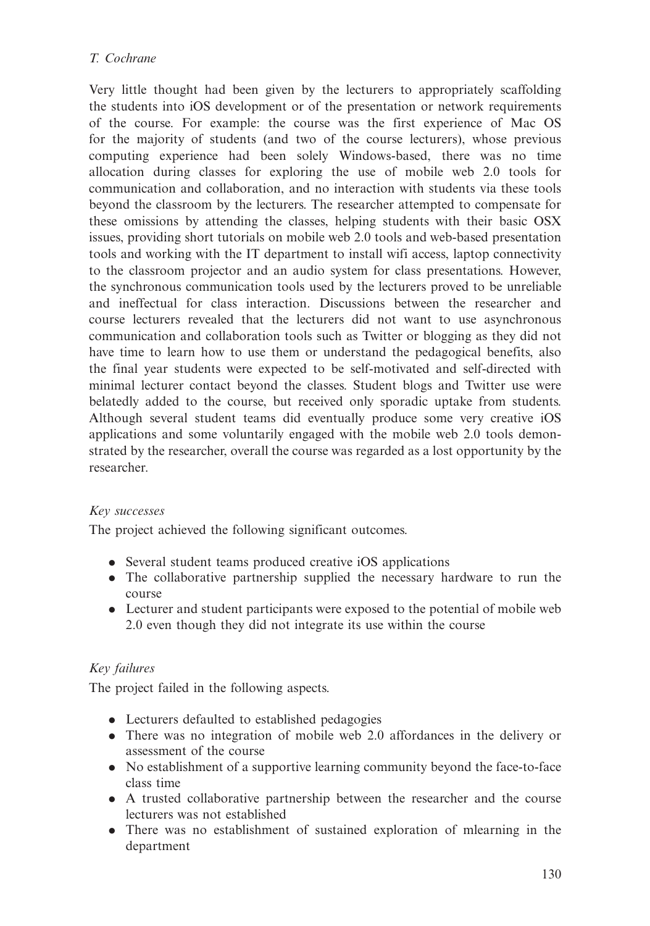Very little thought had been given by the lecturers to appropriately scaffolding the students into iOS development or of the presentation or network requirements of the course. For example: the course was the first experience of Mac OS for the majority of students (and two of the course lecturers), whose previous computing experience had been solely Windows-based, there was no time allocation during classes for exploring the use of mobile web 2.0 tools for communication and collaboration, and no interaction with students via these tools beyond the classroom by the lecturers. The researcher attempted to compensate for these omissions by attending the classes, helping students with their basic OSX issues, providing short tutorials on mobile web 2.0 tools and web-based presentation tools and working with the IT department to install wifi access, laptop connectivity to the classroom projector and an audio system for class presentations. However, the synchronous communication tools used by the lecturers proved to be unreliable and ineffectual for class interaction. Discussions between the researcher and course lecturers revealed that the lecturers did not want to use asynchronous communication and collaboration tools such as Twitter or blogging as they did not have time to learn how to use them or understand the pedagogical benefits, also the final year students were expected to be self-motivated and self-directed with minimal lecturer contact beyond the classes. Student blogs and Twitter use were belatedly added to the course, but received only sporadic uptake from students. Although several student teams did eventually produce some very creative iOS applications and some voluntarily engaged with the mobile web 2.0 tools demonstrated by the researcher, overall the course was regarded as a lost opportunity by the researcher.

# Key successes

The project achieved the following significant outcomes.

- . Several student teams produced creative iOS applications
- . The collaborative partnership supplied the necessary hardware to run the course
- . Lecturer and student participants were exposed to the potential of mobile web 2.0 even though they did not integrate its use within the course

# Key failures

The project failed in the following aspects.

- . Lecturers defaulted to established pedagogies
- . There was no integration of mobile web 2.0 affordances in the delivery or assessment of the course
- . No establishment of a supportive learning community beyond the face-to-face class time
- . A trusted collaborative partnership between the researcher and the course lecturers was not established
- . There was no establishment of sustained exploration of mlearning in the department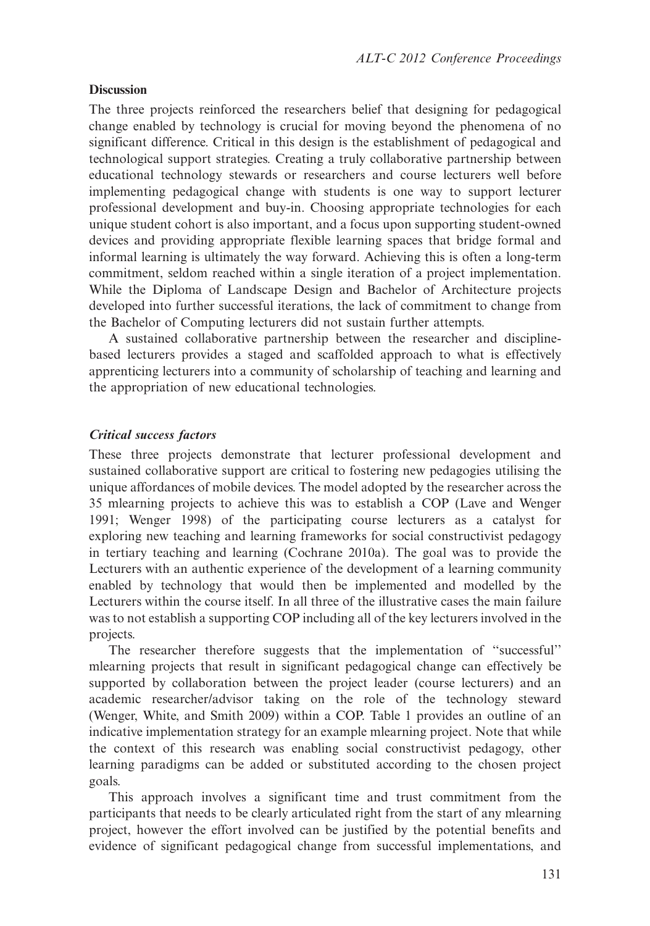#### **Discussion**

The three projects reinforced the researchers belief that designing for pedagogical change enabled by technology is crucial for moving beyond the phenomena of no significant difference. Critical in this design is the establishment of pedagogical and technological support strategies. Creating a truly collaborative partnership between educational technology stewards or researchers and course lecturers well before implementing pedagogical change with students is one way to support lecturer professional development and buy-in. Choosing appropriate technologies for each unique student cohort is also important, and a focus upon supporting student-owned devices and providing appropriate flexible learning spaces that bridge formal and informal learning is ultimately the way forward. Achieving this is often a long-term commitment, seldom reached within a single iteration of a project implementation. While the Diploma of Landscape Design and Bachelor of Architecture projects developed into further successful iterations, the lack of commitment to change from the Bachelor of Computing lecturers did not sustain further attempts.

A sustained collaborative partnership between the researcher and disciplinebased lecturers provides a staged and scaffolded approach to what is effectively apprenticing lecturers into a community of scholarship of teaching and learning and the appropriation of new educational technologies.

#### Critical success factors

These three projects demonstrate that lecturer professional development and sustained collaborative support are critical to fostering new pedagogies utilising the unique affordances of mobile devices. The model adopted by the researcher across the 35 mlearning projects to achieve this was to establish a COP (Lave and Wenger 1991; Wenger 1998) of the participating course lecturers as a catalyst for exploring new teaching and learning frameworks for social constructivist pedagogy in tertiary teaching and learning (Cochrane 2010a). The goal was to provide the Lecturers with an authentic experience of the development of a learning community enabled by technology that would then be implemented and modelled by the Lecturers within the course itself. In all three of the illustrative cases the main failure was to not establish a supporting COP including all of the key lecturers involved in the projects.

The researcher therefore suggests that the implementation of ''successful'' mlearning projects that result in significant pedagogical change can effectively be supported by collaboration between the project leader (course lecturers) and an academic researcher/advisor taking on the role of the technology steward (Wenger, White, and Smith 2009) within a COP. Table 1 provides an outline of an indicative implementation strategy for an example mlearning project. Note that while the context of this research was enabling social constructivist pedagogy, other learning paradigms can be added or substituted according to the chosen project goals.

This approach involves a significant time and trust commitment from the participants that needs to be clearly articulated right from the start of any mlearning project, however the effort involved can be justified by the potential benefits and evidence of significant pedagogical change from successful implementations, and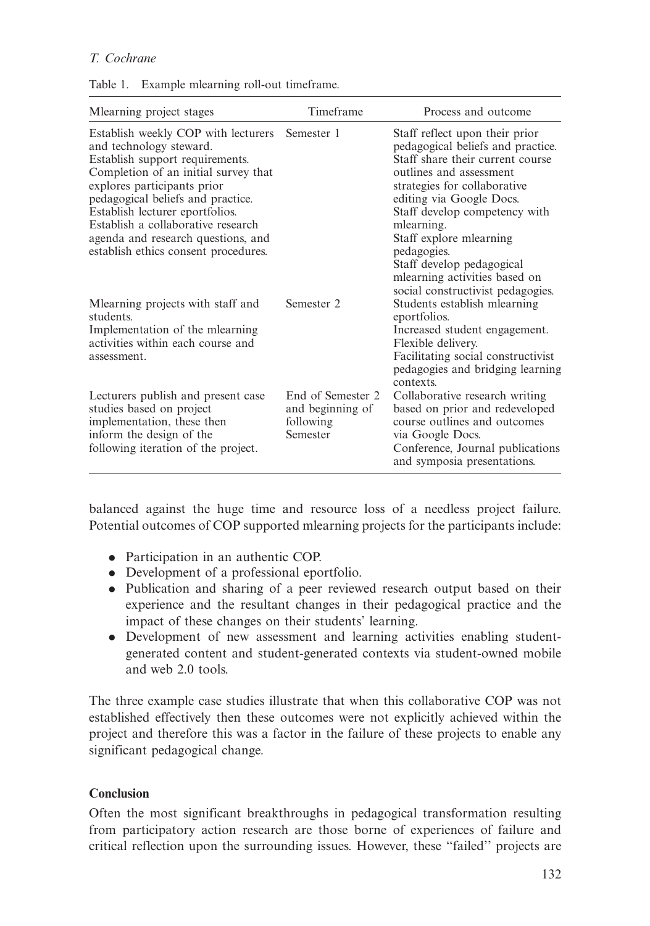#### T. Cochrane

| Table 1. |  |  |  | Example mlearning roll-out timeframe. |
|----------|--|--|--|---------------------------------------|
|----------|--|--|--|---------------------------------------|

| Mlearning project stages                                                                                                                                                                                                                                                                                                                                             | Timeframe                                                      | Process and outcome                                                                                                                                                                                                                                                                                                                                   |
|----------------------------------------------------------------------------------------------------------------------------------------------------------------------------------------------------------------------------------------------------------------------------------------------------------------------------------------------------------------------|----------------------------------------------------------------|-------------------------------------------------------------------------------------------------------------------------------------------------------------------------------------------------------------------------------------------------------------------------------------------------------------------------------------------------------|
| Establish weekly COP with lecturers<br>and technology steward.<br>Establish support requirements.<br>Completion of an initial survey that<br>explores participants prior<br>pedagogical beliefs and practice.<br>Establish lecturer eportfolios.<br>Establish a collaborative research<br>agenda and research questions, and<br>establish ethics consent procedures. | Semester 1                                                     | Staff reflect upon their prior<br>pedagogical beliefs and practice.<br>Staff share their current course<br>outlines and assessment<br>strategies for collaborative<br>editing via Google Docs.<br>Staff develop competency with<br>mlearning.<br>Staff explore mlearning<br>pedagogies.<br>Staff develop pedagogical<br>mlearning activities based on |
| Mearning projects with staff and<br>students.<br>Implementation of the mlearning<br>activities within each course and<br>assessment.                                                                                                                                                                                                                                 | Semester 2                                                     | social constructivist pedagogies.<br>Students establish mlearning<br>eportfolios.<br>Increased student engagement.<br>Flexible delivery.<br>Facilitating social constructivist<br>pedagogies and bridging learning<br>contexts.                                                                                                                       |
| Lecturers publish and present case<br>studies based on project<br>implementation, these then<br>inform the design of the<br>following iteration of the project.                                                                                                                                                                                                      | End of Semester 2<br>and beginning of<br>following<br>Semester | Collaborative research writing<br>based on prior and redeveloped<br>course outlines and outcomes<br>via Google Docs.<br>Conference, Journal publications<br>and symposia presentations.                                                                                                                                                               |

balanced against the huge time and resource loss of a needless project failure. Potential outcomes of COP supported mlearning projects for the participants include:

- . Participation in an authentic COP.
- . Development of a professional eportfolio.
- . Publication and sharing of a peer reviewed research output based on their experience and the resultant changes in their pedagogical practice and the impact of these changes on their students' learning.
- . Development of new assessment and learning activities enabling studentgenerated content and student-generated contexts via student-owned mobile and web 2.0 tools.

The three example case studies illustrate that when this collaborative COP was not established effectively then these outcomes were not explicitly achieved within the project and therefore this was a factor in the failure of these projects to enable any significant pedagogical change.

### **Conclusion**

Often the most significant breakthroughs in pedagogical transformation resulting from participatory action research are those borne of experiences of failure and critical reflection upon the surrounding issues. However, these ''failed'' projects are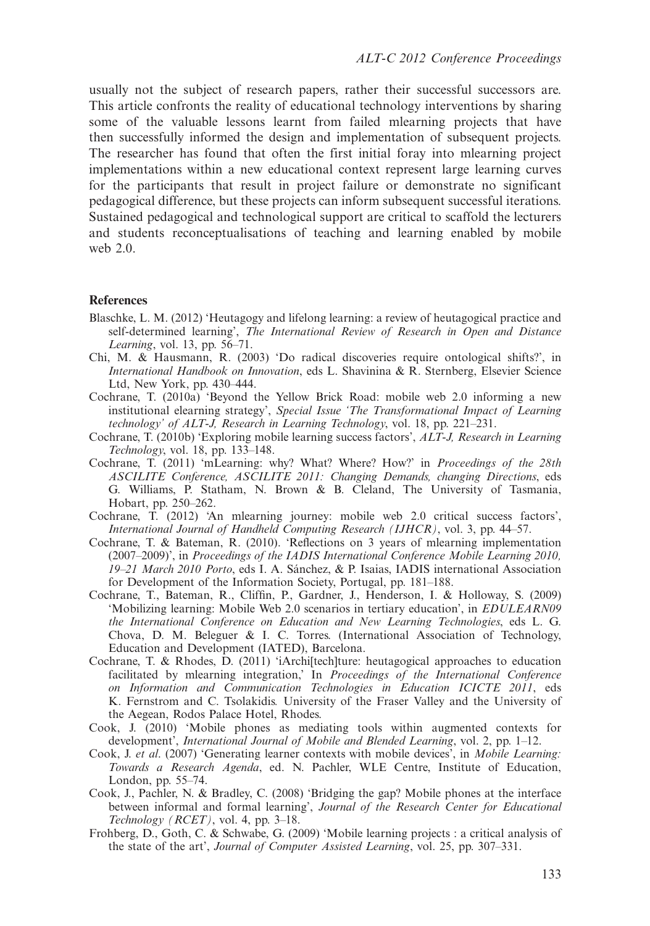usually not the subject of research papers, rather their successful successors are. This article confronts the reality of educational technology interventions by sharing some of the valuable lessons learnt from failed mlearning projects that have then successfully informed the design and implementation of subsequent projects. The researcher has found that often the first initial foray into mlearning project implementations within a new educational context represent large learning curves for the participants that result in project failure or demonstrate no significant pedagogical difference, but these projects can inform subsequent successful iterations. Sustained pedagogical and technological support are critical to scaffold the lecturers and students reconceptualisations of teaching and learning enabled by mobile web 2.0.

#### **References**

- Blaschke, L. M. (2012) 'Heutagogy and lifelong learning: a review of heutagogical practice and self-determined learning', The International Review of Research in Open and Distance Learning, vol. 13, pp. 56-71.
- Chi, M. & Hausmann, R. (2003) 'Do radical discoveries require ontological shifts?', in International Handbook on Innovation, eds L. Shavinina & R. Sternberg, Elsevier Science Ltd, New York, pp. 430-444.
- Cochrane, T. (2010a) 'Beyond the Yellow Brick Road: mobile web 2.0 informing a new institutional elearning strategy', Special Issue 'The Transformational Impact of Learning technology' of ALT-J, Research in Learning Technology, vol. 18, pp. 221-231.
- Cochrane, T. (2010b) 'Exploring mobile learning success factors', ALT-J, Research in Learning Technology, vol. 18, pp. 133-148.
- Cochrane, T. (2011) 'mLearning: why? What? Where? How?' in Proceedings of the 28th ASCILITE Conference, ASCILITE 2011: Changing Demands, changing Directions, eds G. Williams, P. Statham, N. Brown & B. Cleland, The University of Tasmania, Hobart, pp. 250-262.
- Cochrane, T. (2012) 'An mlearning journey: mobile web 2.0 critical success factors', International Journal of Handheld Computing Research (IJHCR), vol. 3, pp. 44-57.
- Cochrane, T. & Bateman, R. (2010). 'Reflections on 3 years of mlearning implementation (2007-2009)', in Proceedings of the IADIS International Conference Mobile Learning 2010, 19–21 March 2010 Porto, eds I. A. Sánchez, & P. Isaias, IADIS international Association for Development of the Information Society, Portugal, pp. 181-188.
- Cochrane, T., Bateman, R., Cliffin, P., Gardner, J., Henderson, I. & Holloway, S. (2009) 'Mobilizing learning: Mobile Web 2.0 scenarios in tertiary education', in EDULEARN09 the International Conference on Education and New Learning Technologies, eds L. G. Chova, D. M. Beleguer & I. C. Torres. (International Association of Technology, Education and Development (IATED), Barcelona.
- Cochrane, T. & Rhodes, D. (2011) 'iArchi[tech]ture: heutagogical approaches to education facilitated by mlearning integration,' In Proceedings of the International Conference on Information and Communication Technologies in Education ICICTE 2011, eds K. Fernstrom and C. Tsolakidis. University of the Fraser Valley and the University of the Aegean, Rodos Palace Hotel, Rhodes.
- Cook, J. (2010) 'Mobile phones as mediating tools within augmented contexts for development', International Journal of Mobile and Blended Learning, vol. 2, pp. 1-12.
- Cook, J. et al. (2007) 'Generating learner contexts with mobile devices', in Mobile Learning: Towards a Research Agenda, ed. N. Pachler, WLE Centre, Institute of Education, London, pp. 55-74.
- Cook, J., Pachler, N. & Bradley, C. (2008) 'Bridging the gap? Mobile phones at the interface between informal and formal learning', Journal of the Research Center for Educational Technology (RCET), vol. 4, pp. 3-18.
- Frohberg, D., Goth, C. & Schwabe, G. (2009) 'Mobile learning projects : a critical analysis of the state of the art', Journal of Computer Assisted Learning, vol. 25, pp. 307-331.